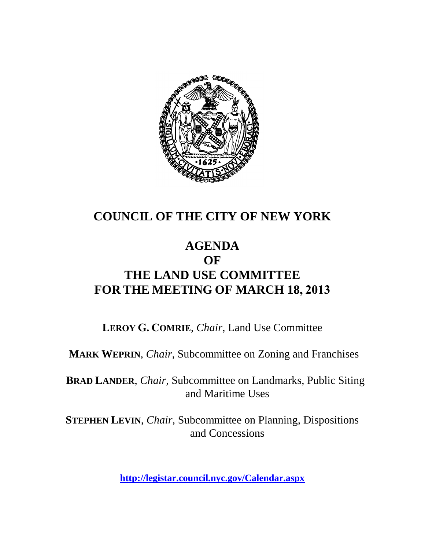

# **COUNCIL OF THE CITY OF NEW YORK**

# **AGENDA OF THE LAND USE COMMITTEE FOR THE MEETING OF MARCH 18, 2013**

**LEROY G. COMRIE**, *Chair*, Land Use Committee

**MARK WEPRIN**, *Chair*, Subcommittee on Zoning and Franchises

**BRAD LANDER**, *Chair*, Subcommittee on Landmarks, Public Siting and Maritime Uses

**STEPHEN LEVIN**, *Chair,* Subcommittee on Planning, Dispositions and Concessions

**<http://legistar.council.nyc.gov/Calendar.aspx>**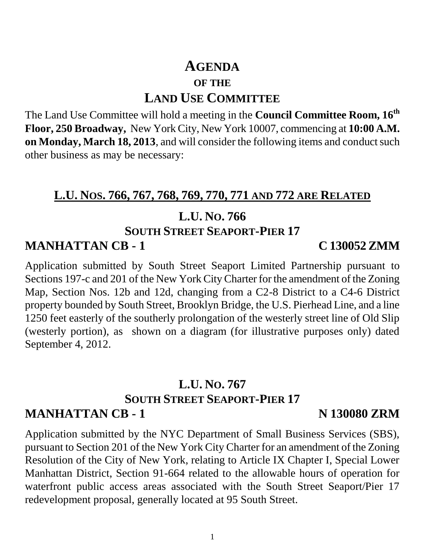# **AGENDA OF THE LAND USE COMMITTEE**

The Land Use Committee will hold a meeting in the **Council Committee Room, 16th Floor, 250 Broadway,** New York City, New York 10007, commencing at **10:00 A.M. on Monday, March 18, 2013**, and will consider the following items and conduct such other business as may be necessary:

### **L.U. NOS. 766, 767, 768, 769, 770, 771 AND 772 ARE RELATED**

### **L.U. NO. 766**

# **SOUTH STREET SEAPORT-PIER 17**

### **MANHATTAN CB - 1 C 130052 ZMM**

Application submitted by South Street Seaport Limited Partnership pursuant to Sections 197-c and 201 of the New York City Charter for the amendment of the Zoning Map, Section Nos. 12b and 12d, changing from a C2-8 District to a C4-6 District property bounded by South Street, Brooklyn Bridge, the U.S. Pierhead Line, and a line 1250 feet easterly of the southerly prolongation of the westerly street line of Old Slip (westerly portion), as shown on a diagram (for illustrative purposes only) dated September 4, 2012.

### **L.U. NO. 767 SOUTH STREET SEAPORT-PIER 17 MANHATTAN CB - 1 N 130080 ZRM**

Application submitted by the NYC Department of Small Business Services (SBS), pursuant to Section 201 of the New York City Charter for an amendment of the Zoning Resolution of the City of New York, relating to Article IX Chapter I, Special Lower Manhattan District, Section 91-664 related to the allowable hours of operation for waterfront public access areas associated with the South Street Seaport/Pier 17 redevelopment proposal, generally located at 95 South Street.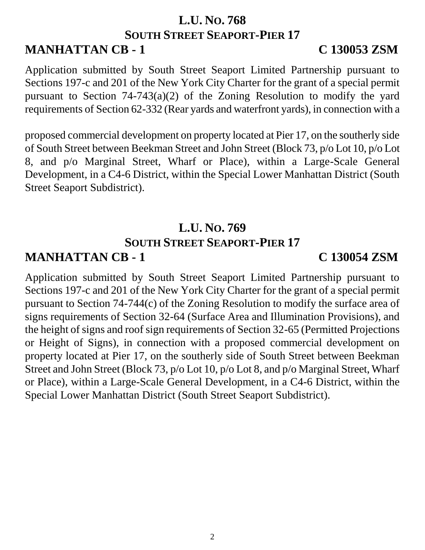### **L.U. NO. 768 SOUTH STREET SEAPORT-PIER 17 MANHATTAN CB - 1 C 130053 ZSM**

Application submitted by South Street Seaport Limited Partnership pursuant to Sections 197-c and 201 of the New York City Charter for the grant of a special permit pursuant to Section 74-743(a)(2) of the Zoning Resolution to modify the yard requirements of Section 62-332 (Rear yards and waterfront yards), in connection with a

proposed commercial development on property located at Pier 17, on the southerly side of South Street between Beekman Street and John Street (Block 73, p/o Lot 10, p/o Lot 8, and p/o Marginal Street, Wharf or Place), within a Large-Scale General Development, in a C4-6 District, within the Special Lower Manhattan District (South Street Seaport Subdistrict).

# **L.U. NO. 769 SOUTH STREET SEAPORT-PIER 17 MANHATTAN CB - 1 C 130054 ZSM**

Application submitted by South Street Seaport Limited Partnership pursuant to Sections 197-c and 201 of the New York City Charter for the grant of a special permit pursuant to Section 74-744(c) of the Zoning Resolution to modify the surface area of signs requirements of Section 32-64 (Surface Area and Illumination Provisions), and the height of signs and roof sign requirements of Section 32-65 (Permitted Projections or Height of Signs), in connection with a proposed commercial development on property located at Pier 17, on the southerly side of South Street between Beekman Street and John Street (Block 73, p/o Lot 10, p/o Lot 8, and p/o Marginal Street, Wharf or Place), within a Large-Scale General Development, in a C4-6 District, within the Special Lower Manhattan District (South Street Seaport Subdistrict).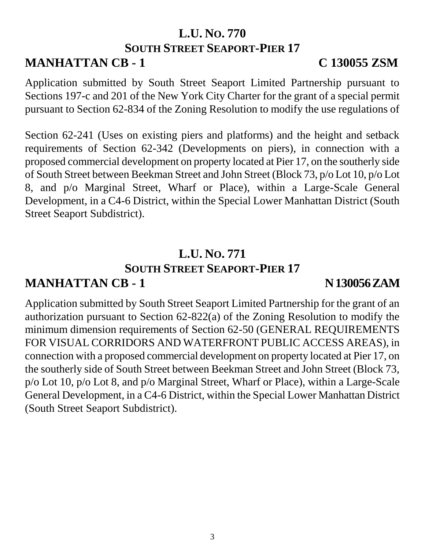### **L.U. NO. 770 SOUTH STREET SEAPORT-PIER 17 MANHATTAN CB - 1 C 130055 ZSM**

Application submitted by South Street Seaport Limited Partnership pursuant to Sections 197-c and 201 of the New York City Charter for the grant of a special permit pursuant to Section 62-834 of the Zoning Resolution to modify the use regulations of

Section 62-241 (Uses on existing piers and platforms) and the height and setback requirements of Section 62-342 (Developments on piers), in connection with a proposed commercial development on property located at Pier 17, on the southerly side of South Street between Beekman Street and John Street (Block 73, p/o Lot 10, p/o Lot 8, and p/o Marginal Street, Wharf or Place), within a Large-Scale General Development, in a C4-6 District, within the Special Lower Manhattan District (South Street Seaport Subdistrict).

### **L.U. NO. 771 SOUTH STREET SEAPORT-PIER 17**

# **MANHATTAN CB - 1 N 130056 ZAM**

Application submitted by South Street Seaport Limited Partnership for the grant of an authorization pursuant to Section 62-822(a) of the Zoning Resolution to modify the minimum dimension requirements of Section 62-50 (GENERAL REQUIREMENTS FOR VISUAL CORRIDORS AND WATERFRONT PUBLIC ACCESS AREAS), in connection with a proposed commercial development on property located at Pier 17, on the southerly side of South Street between Beekman Street and John Street (Block 73, p/o Lot 10, p/o Lot 8, and p/o Marginal Street, Wharf or Place), within a Large-Scale General Development, in a C4-6 District, within the Special Lower Manhattan District (South Street Seaport Subdistrict).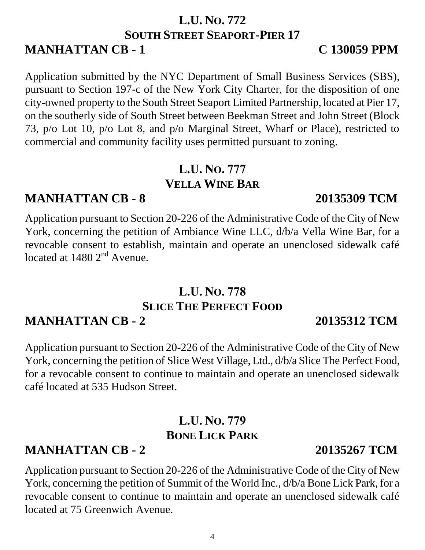# 4

### **L.U. NO. 772 SOUTH STREET SEAPORT-PIER 17 MANHATTAN CB - 1 C 130059 PPM**

Application submitted by the NYC Department of Small Business Services (SBS), pursuant to Section 197-c of the New York City Charter, for the disposition of one city-owned property to the South Street Seaport Limited Partnership, located at Pier 17, on the southerly side of South Street between Beekman Street and John Street (Block 73, p/o Lot 10, p/o Lot 8, and p/o Marginal Street, Wharf or Place), restricted to commercial and community facility uses permitted pursuant to zoning.

### **L.U. NO. 777 VELLA WINE BAR**

# **MANHATTAN CB - 8 20135309 TCM**

Application pursuant to Section 20-226 of the Administrative Code of the City of New York, concerning the petition of Ambiance Wine LLC, d/b/a Vella Wine Bar, for a revocable consent to establish, maintain and operate an unenclosed sidewalk café located at  $1480$   $2<sup>nd</sup>$  Avenue.

## **L.U. NO. 778 SLICE THE PERFECT FOOD MANHATTAN CB - 2 20135312 TCM**

Application pursuant to Section 20-226 of the Administrative Code of the City of New York, concerning the petition of Slice West Village, Ltd., d/b/a Slice The Perfect Food, for a revocable consent to continue to maintain and operate an unenclosed sidewalk café located at 535 Hudson Street.

# **L.U. NO. 779 BONE LICK PARK**

# **MANHATTAN CB - 2 20135267 TCM**

Application pursuant to Section 20-226 of the Administrative Code of the City of New York, concerning the petition of Summit of the World Inc., d/b/a Bone Lick Park, for a revocable consent to continue to maintain and operate an unenclosed sidewalk café located at 75 Greenwich Avenue.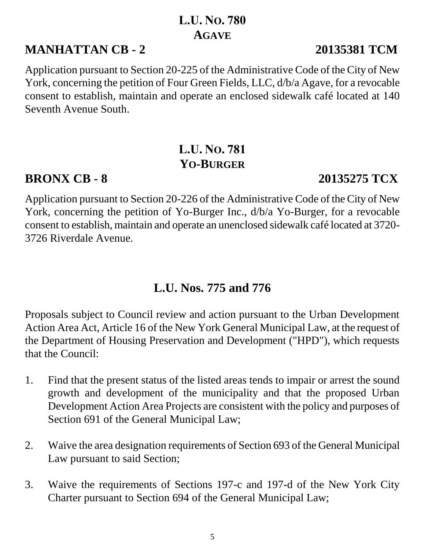# **L.U. NO. 780 AGAVE**

# **MANHATTAN CB - 2 20135381 TCM**

Application pursuant to Section 20-225 of the Administrative Code of the City of New York, concerning the petition of Four Green Fields, LLC, d/b/a Agave, for a revocable consent to establish, maintain and operate an enclosed sidewalk café located at 140 Seventh Avenue South.

# **L.U. NO. 781 YO-BURGER**

### **BRONX CB - 8 20135275 TCX**

Application pursuant to Section 20-226 of the Administrative Code of the City of New York, concerning the petition of Yo-Burger Inc., d/b/a Yo-Burger, for a revocable consent to establish, maintain and operate an unenclosed sidewalk café located at 3720- 3726 Riverdale Avenue.

# **L.U. Nos. 775 and 776**

Proposals subject to Council review and action pursuant to the Urban Development Action Area Act, Article 16 of the New York General Municipal Law, at the request of the Department of Housing Preservation and Development ("HPD"), which requests that the Council:

- 1. Find that the present status of the listed areas tends to impair or arrest the sound growth and development of the municipality and that the proposed Urban Development Action Area Projects are consistent with the policy and purposes of Section 691 of the General Municipal Law;
- 2. Waive the area designation requirements of Section 693 of the General Municipal Law pursuant to said Section;
- 3. Waive the requirements of Sections 197-c and 197-d of the New York City Charter pursuant to Section 694 of the General Municipal Law;